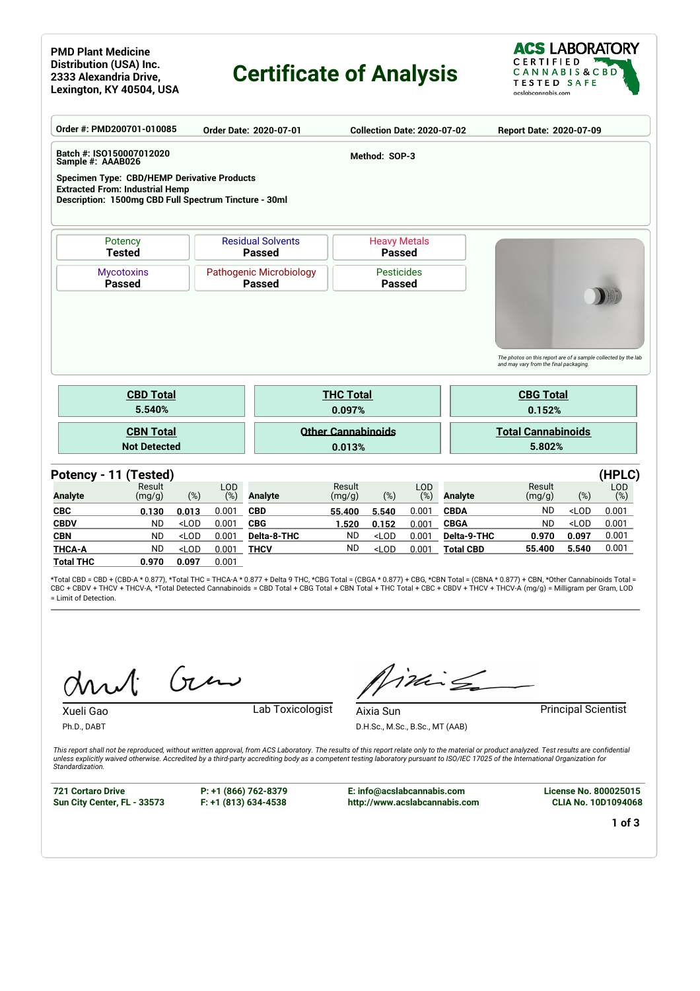### **PMD Plant Medicine Distribution (USA) Inc. 2333 Alexandria Drive, Lexington, KY 40504, USA**

# **Certificate of Analysis**



| Order #: PMD200701-010085                                                                                                                             |                                                                                |         |                   | Order Date: 2020-07-01                    |                  | <b>Collection Date: 2020-07-02</b>   |            |                  | Report Date: 2020-07-09                                                                                                      |         |            |  |  |
|-------------------------------------------------------------------------------------------------------------------------------------------------------|--------------------------------------------------------------------------------|---------|-------------------|-------------------------------------------|------------------|--------------------------------------|------------|------------------|------------------------------------------------------------------------------------------------------------------------------|---------|------------|--|--|
| Batch #: ISO150007012020<br>Sample #: AAAB026                                                                                                         |                                                                                |         |                   |                                           |                  | Method: SOP-3                        |            |                  |                                                                                                                              |         |            |  |  |
| <b>Specimen Type: CBD/HEMP Derivative Products</b><br><b>Extracted From: Industrial Hemp</b><br>Description: 1500mg CBD Full Spectrum Tincture - 30ml |                                                                                |         |                   |                                           |                  |                                      |            |                  |                                                                                                                              |         |            |  |  |
|                                                                                                                                                       | Potency<br><b>Tested</b>                                                       |         |                   | <b>Residual Solvents</b><br><b>Passed</b> |                  | <b>Heavy Metals</b><br><b>Passed</b> |            |                  |                                                                                                                              |         |            |  |  |
|                                                                                                                                                       | Pathogenic Microbiology<br><b>Mycotoxins</b><br><b>Passed</b><br><b>Passed</b> |         |                   |                                           |                  | <b>Pesticides</b><br><b>Passed</b>   |            |                  |                                                                                                                              |         |            |  |  |
|                                                                                                                                                       | <b>CBD Total</b>                                                               |         |                   |                                           | <b>THC Total</b> |                                      |            |                  | The photos on this report are of a sample collected by the lab<br>and may vary from the final packaging.<br><b>CBG Total</b> |         |            |  |  |
|                                                                                                                                                       | 5.540%                                                                         |         |                   |                                           | 0.097%           |                                      |            |                  | 0.152%                                                                                                                       |         |            |  |  |
|                                                                                                                                                       | <b>CBN Total</b><br><b>Not Detected</b>                                        |         |                   | <b>Other Cannabinoids</b><br>0.013%       |                  |                                      |            |                  | <b>Total Cannabinoids</b><br>5.802%                                                                                          |         |            |  |  |
| Potency - 11 (Tested)                                                                                                                                 |                                                                                |         |                   |                                           |                  |                                      |            |                  |                                                                                                                              |         | (HPLC)     |  |  |
| <b>Analyte</b>                                                                                                                                        | Result<br>(mg/g)                                                               | (%)     | <b>LOD</b><br>(%) | <b>Analyte</b>                            | Result<br>(mg/g) | $(\%)$                               | LOD<br>(%) | <b>Analyte</b>   | Result<br>(mg/g)                                                                                                             | $(\%)$  | LOD<br>(%) |  |  |
| <b>CBC</b>                                                                                                                                            | 0.130                                                                          | 0.013   | 0.001             | <b>CBD</b>                                | 55.400           | 5.540                                | 0.001      | <b>CBDA</b>      | <b>ND</b>                                                                                                                    | $<$ LOD | 0.001      |  |  |
| <b>CBDV</b>                                                                                                                                           | <b>ND</b>                                                                      | $<$ LOD | 0.001             | <b>CBG</b>                                | 1.520            | 0.152                                | 0.001      | <b>CBGA</b>      | <b>ND</b>                                                                                                                    | $<$ LOD | 0.001      |  |  |
| <b>CBN</b>                                                                                                                                            | <b>ND</b>                                                                      | $<$ LOD | 0.001             | Delta-8-THC                               | <b>ND</b>        | $<$ LOD                              | 0.001      | Delta-9-THC      | 0.970                                                                                                                        | 0.097   | 0.001      |  |  |
| <b>THCA-A</b>                                                                                                                                         | <b>ND</b>                                                                      | $<$ LOD | 0.001             | <b>THCV</b>                               | <b>ND</b>        | $<$ LOD                              | 0.001      | <b>Total CBD</b> | 55.400                                                                                                                       | 5.540   | 0.001      |  |  |
| <b>Total THC</b>                                                                                                                                      | 0.970                                                                          | 0.097   | 0.001             |                                           |                  |                                      |            |                  |                                                                                                                              |         |            |  |  |

\*Total CBD = CBD + (CBD-A \* 0.877), \*Total THC = THCA-A \* 0.877 + Delta 9 THC, \*CBG Total = (CBGA \* 0.877) + CBG, \*CBN Total = (CBNA \* 0.877) + CBN, \*Other Cannabinoids Total = CBC + CBDV + THCV + THCV-A, \*Total Detected Cannabinoids = CBD Total + CBG Total + CBN Total + THC Total + CBC + CBDV + THCV + THCV-A (mg/g) = Milligram per Gram, LOD = Limit of Detection.

Gen

Xueli Gao Lab Toxicologist

inis

**Aixia Sun Principal Scientist** D.H.Sc., M.Sc., B.Sc., MT (AAB)

*This report shall not be reproduced, without written approval, from ACS Laboratory. The results of this report relate only to the material or product analyzed. Test results are confidential unless explicitly waived otherwise. Accredited by a third-party accrediting body as a competent testing laboratory pursuant to ISO/IEC 17025 of the International Organization for Standardization.*

**721 Cortaro Drive Sun City Center, FL - 33573**

Ph.D., DABT

**P: +1 (866) 762-8379 F: +1 (813) 634-4538**

**E: info@acslabcannabis.com http://www.acslabcannabis.com** **License No. 800025015 CLIA No. 10D1094068**

**1 of 3**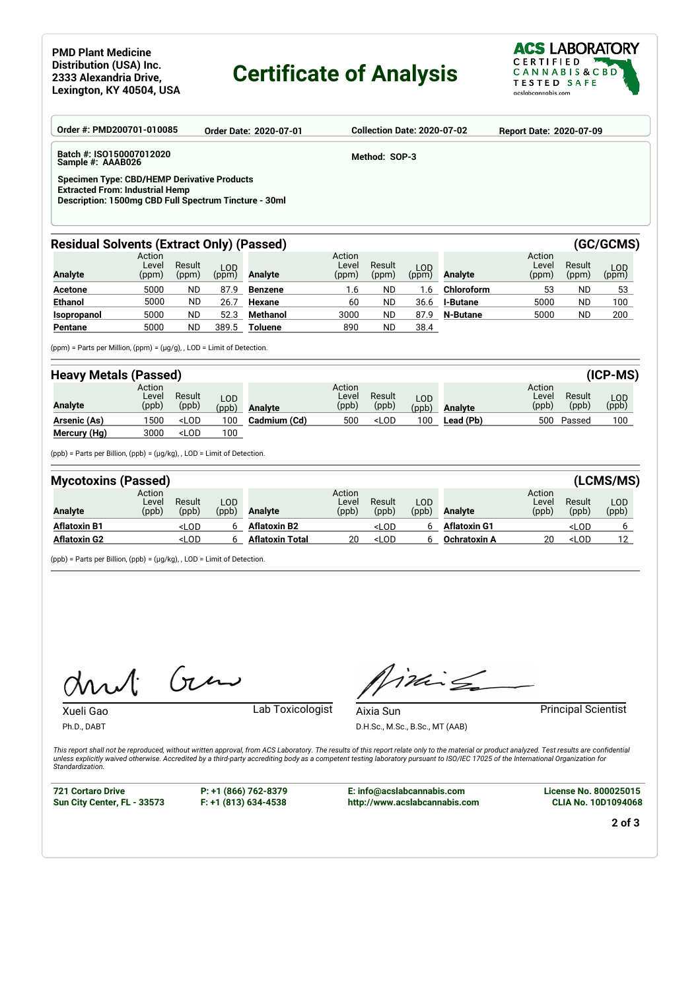## **Certificate of Analysis**



| Order #: PMD200701-010085                                                                                                                             |                                                                              |                 |                | <b>Order Date: 2020-07-01</b> |                          |                 | <b>Collection Date: 2020-07-02</b> |                 | <b>Report Date: 2020-07-09</b> |                 |                     |  |
|-------------------------------------------------------------------------------------------------------------------------------------------------------|------------------------------------------------------------------------------|-----------------|----------------|-------------------------------|--------------------------|-----------------|------------------------------------|-----------------|--------------------------------|-----------------|---------------------|--|
| Batch #: ISO150007012020<br>Method: SOP-3<br>Sample #: AAAB026                                                                                        |                                                                              |                 |                |                               |                          |                 |                                    |                 |                                |                 |                     |  |
| <b>Specimen Type: CBD/HEMP Derivative Products</b><br><b>Extracted From: Industrial Hemp</b><br>Description: 1500mg CBD Full Spectrum Tincture - 30ml |                                                                              |                 |                |                               |                          |                 |                                    |                 |                                |                 |                     |  |
| <b>Residual Solvents (Extract Only) (Passed)</b><br>(GC/GCMS)                                                                                         |                                                                              |                 |                |                               |                          |                 |                                    |                 |                                |                 |                     |  |
| <b>Analyte</b>                                                                                                                                        | Action<br>Level<br>(ppm)                                                     | Result<br>(ppm) | $LOD$<br>(ppm) | Analyte                       | Action<br>Level<br>(ppm) | Result<br>(ppm) | $LOD$<br>(ppm)                     | <b>Analyte</b>  | Action<br>Level<br>(ppm)       | Result<br>(ppm) | <b>LOD</b><br>(ppm) |  |
| <b>Acetone</b>                                                                                                                                        | 5000                                                                         | <b>ND</b>       | 87.9           | <b>Benzene</b>                | 1.6                      | <b>ND</b>       | 1.6                                | Chloroform      | 53                             | <b>ND</b>       | 53                  |  |
| <b>Ethanol</b>                                                                                                                                        | 5000                                                                         | ND.             | 26.7           | Hexane                        | 60                       | ND.             | 36.6                               | <b>I-Butane</b> | 5000                           | ND.             | 100                 |  |
| Isopropanol                                                                                                                                           | 5000                                                                         | <b>ND</b>       | 52.3           | <b>Methanol</b>               | 3000                     | ND.             | 87.9                               | <b>N-Butane</b> | 5000                           | ND.             | 200                 |  |
| Pentane                                                                                                                                               | 5000                                                                         | ND.             | 389.5          | Toluene                       | 890                      | ND.             | 38.4                               |                 |                                |                 |                     |  |
|                                                                                                                                                       | (ppm) = Parts per Million, (ppm) = $(\mu g/g)$ , , LOD = Limit of Detection. |                 |                |                               |                          |                 |                                    |                 |                                |                 |                     |  |
| <b>Heavy Metals (Passed)</b>                                                                                                                          |                                                                              |                 |                |                               |                          |                 |                                    |                 |                                |                 | $(ICP-MS)$          |  |
|                                                                                                                                                       | Action                                                                       |                 |                |                               | Action                   |                 |                                    |                 | Action                         |                 |                     |  |

| <b>Analyte</b> | ACUOIT<br>Level<br>(ppb) | Result<br>(ppb)                                                                                                                                                   | LOD<br>(ppb) | <b>Analyte</b> | ACUOIT<br>Level<br>(ppb) | Result<br>(ppb)                                                                          | LOD.<br>(ppb) | Analvte   | ACUOLI<br>Level<br>(ppb) | Result<br>(ppb) | LOD.<br>(ppb) |
|----------------|--------------------------|-------------------------------------------------------------------------------------------------------------------------------------------------------------------|--------------|----------------|--------------------------|------------------------------------------------------------------------------------------|---------------|-----------|--------------------------|-----------------|---------------|
| Arsenic (As)   | 1500                     | <lod< th=""><th>100</th><th>Cadmium (Cd)</th><th>500</th><th><lod< th=""><th>100</th><th>Lead (Pb)</th><th>500</th><th>Passed</th><th>100</th></lod<></th></lod<> | 100          | Cadmium (Cd)   | 500                      | <lod< th=""><th>100</th><th>Lead (Pb)</th><th>500</th><th>Passed</th><th>100</th></lod<> | 100           | Lead (Pb) | 500                      | Passed          | 100           |
| Mercury (Hg)   | 3000                     | <lod< th=""><th>100</th><th></th><th></th><th></th><th></th><th></th><th></th><th></th><th></th></lod<>                                                           | 100          |                |                          |                                                                                          |               |           |                          |                 |               |

(ppb) = Parts per Billion, (ppb) = (µg/kg), , LOD = Limit of Detection.

| <b>Mycotoxins (Passed)</b> |                          |                                                                                                                                                                                            |              |                        |                          |                                                                                                            |              |                     |                          |                                | (LCMS/MS)    |
|----------------------------|--------------------------|--------------------------------------------------------------------------------------------------------------------------------------------------------------------------------------------|--------------|------------------------|--------------------------|------------------------------------------------------------------------------------------------------------|--------------|---------------------|--------------------------|--------------------------------|--------------|
| <b>Analyte</b>             | Action<br>Level<br>(ppb) | Result<br>(ppb)                                                                                                                                                                            | LOD<br>(ppb) | <b>Analyte</b>         | Action<br>Level<br>(ppb) | Result<br>(ppb)                                                                                            | LOD<br>(ppb) | <b>Analyte</b>      | Action<br>Level<br>(ppb) | Result<br>(ppb)                | LOD<br>(ppb) |
| <b>Aflatoxin B1</b>        |                          | <lod< th=""><th>6</th><th><b>Aflatoxin B2</b></th><th></th><th><lod< th=""><th></th><th><b>Aflatoxin G1</b></th><th></th><th><lod< th=""><th></th></lod<></th></lod<></th></lod<>          | 6            | <b>Aflatoxin B2</b>    |                          | <lod< th=""><th></th><th><b>Aflatoxin G1</b></th><th></th><th><lod< th=""><th></th></lod<></th></lod<>     |              | <b>Aflatoxin G1</b> |                          | <lod< th=""><th></th></lod<>   |              |
| <b>Aflatoxin G2</b>        |                          | <lod< th=""><th>h</th><th><b>Aflatoxin Total</b></th><th>20</th><th><lod< th=""><th></th><th><b>Ochratoxin A</b></th><th>20</th><th><lod< th=""><th>12</th></lod<></th></lod<></th></lod<> | h            | <b>Aflatoxin Total</b> | 20                       | <lod< th=""><th></th><th><b>Ochratoxin A</b></th><th>20</th><th><lod< th=""><th>12</th></lod<></th></lod<> |              | <b>Ochratoxin A</b> | 20                       | <lod< th=""><th>12</th></lod<> | 12           |

(ppb) = Parts per Billion, (ppb) = (µg/kg), , LOD = Limit of Detection.

 $Gu$  $\Lambda$ 

Xueli Gao Lab Toxicologist

imis

Aixia Sun **Principal Scientist** D.H.Sc., M.Sc., B.Sc., MT (AAB)

*This report shall not be reproduced, without written approval, from ACS Laboratory. The results of this report relate only to the material or product analyzed. Test results are confidential unless explicitly waived otherwise. Accredited by a third-party accrediting body as a competent testing laboratory pursuant to ISO/IEC 17025 of the International Organization for Standardization.*

**721 Cortaro Drive Sun City Center, FL - 33573**

Ph.D., DABT

**P: +1 (866) 762-8379 F: +1 (813) 634-4538**

**E: info@acslabcannabis.com http://www.acslabcannabis.com** **License No. 800025015 CLIA No. 10D1094068**

**2 of 3**